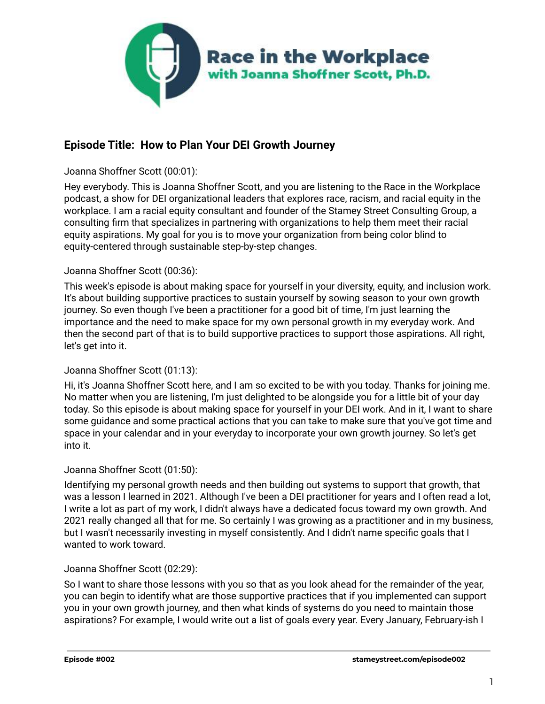

# **Episode Title: How to Plan Your DEI Growth Journey**

## Joanna Shoffner Scott (00:01):

Hey everybody. This is Joanna Shoffner Scott, and you are listening to the Race in the Workplace podcast, a show for DEI organizational leaders that explores race, racism, and racial equity in the workplace. I am a racial equity consultant and founder of the Stamey Street Consulting Group, a consulting firm that specializes in partnering with organizations to help them meet their racial equity aspirations. My goal for you is to move your organization from being color blind to equity-centered through sustainable step-by-step changes.

## Joanna Shoffner Scott (00:36):

This week's episode is about making space for yourself in your diversity, equity, and inclusion work. It's about building supportive practices to sustain yourself by sowing season to your own growth journey. So even though I've been a practitioner for a good bit of time, I'm just learning the importance and the need to make space for my own personal growth in my everyday work. And then the second part of that is to build supportive practices to support those aspirations. All right, let's get into it.

## Joanna Shoffner Scott (01:13):

Hi, it's Joanna Shoffner Scott here, and I am so excited to be with you today. Thanks for joining me. No matter when you are listening, I'm just delighted to be alongside you for a little bit of your day today. So this episode is about making space for yourself in your DEI work. And in it, I want to share some guidance and some practical actions that you can take to make sure that you've got time and space in your calendar and in your everyday to incorporate your own growth journey. So let's get into it.

## Joanna Shoffner Scott (01:50):

Identifying my personal growth needs and then building out systems to support that growth, that was a lesson I learned in 2021. Although I've been a DEI practitioner for years and I often read a lot, I write a lot as part of my work, I didn't always have a dedicated focus toward my own growth. And 2021 really changed all that for me. So certainly I was growing as a practitioner and in my business, but I wasn't necessarily investing in myself consistently. And I didn't name specific goals that I wanted to work toward.

## Joanna Shoffner Scott (02:29):

So I want to share those lessons with you so that as you look ahead for the remainder of the year, you can begin to identify what are those supportive practices that if you implemented can support you in your own growth journey, and then what kinds of systems do you need to maintain those aspirations? For example, I would write out a list of goals every year. Every January, February-ish I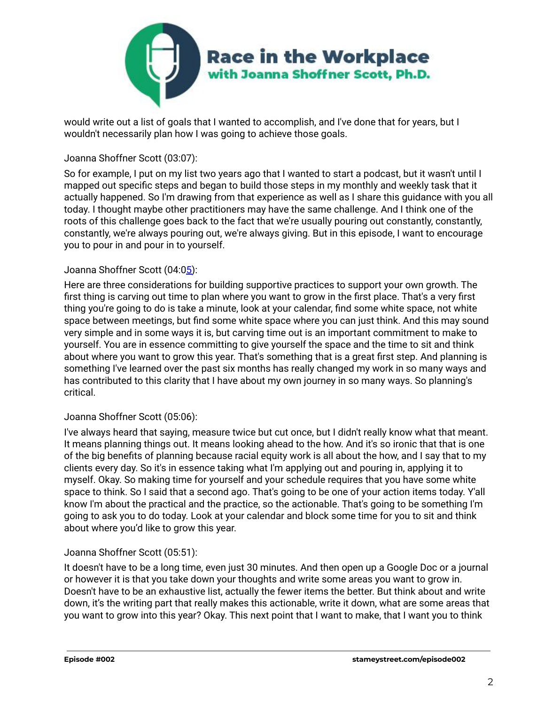

would write out a list of goals that I wanted to accomplish, and I've done that for years, but I wouldn't necessarily plan how I was going to achieve those goals.

# Joanna Shoffner Scott (03:07):

So for example, I put on my list two years ago that I wanted to start a podcast, but it wasn't until I mapped out specific steps and began to build those steps in my monthly and weekly task that it actually happened. So I'm drawing from that experience as well as I share this guidance with you all today. I thought maybe other practitioners may have the same challenge. And I think one of the roots of this challenge goes back to the fact that we're usually pouring out constantly, constantly, constantly, we're always pouring out, we're always giving. But in this episode, I want to encourage you to pour in and pour in to yourself.

# Joanna Shoffner Scott (04:[05\)](https://www.rev.com/transcript-editor/Edit?token=DSdu1Sl5Q7n6O2GwkZhL8L8LA3MhtAn8eIVW9sKI6cX0rL3gcou105W0cO0E6DtARs-qtX25tK2ESf63_2f_rhzIJSo&loadFrom=DocumentDeeplink&ts=245.22):

Here are three considerations for building supportive practices to support your own growth. The first thing is carving out time to plan where you want to grow in the first place. That's a very first thing you're going to do is take a minute, look at your calendar, find some white space, not white space between meetings, but find some white space where you can just think. And this may sound very simple and in some ways it is, but carving time out is an important commitment to make to yourself. You are in essence committing to give yourself the space and the time to sit and think about where you want to grow this year. That's something that is a great first step. And planning is something I've learned over the past six months has really changed my work in so many ways and has contributed to this clarity that I have about my own journey in so many ways. So planning's critical.

# Joanna Shoffner Scott (05:06):

I've always heard that saying, measure twice but cut once, but I didn't really know what that meant. It means planning things out. It means looking ahead to the how. And it's so ironic that that is one of the big benefits of planning because racial equity work is all about the how, and I say that to my clients every day. So it's in essence taking what I'm applying out and pouring in, applying it to myself. Okay. So making time for yourself and your schedule requires that you have some white space to think. So I said that a second ago. That's going to be one of your action items today. Y'all know I'm about the practical and the practice, so the actionable. That's going to be something I'm going to ask you to do today. Look at your calendar and block some time for you to sit and think about where you'd like to grow this year.

# Joanna Shoffner Scott (05:51):

It doesn't have to be a long time, even just 30 minutes. And then open up a Google Doc or a journal or however it is that you take down your thoughts and write some areas you want to grow in. Doesn't have to be an exhaustive list, actually the fewer items the better. But think about and write down, it's the writing part that really makes this actionable, write it down, what are some areas that you want to grow into this year? Okay. This next point that I want to make, that I want you to think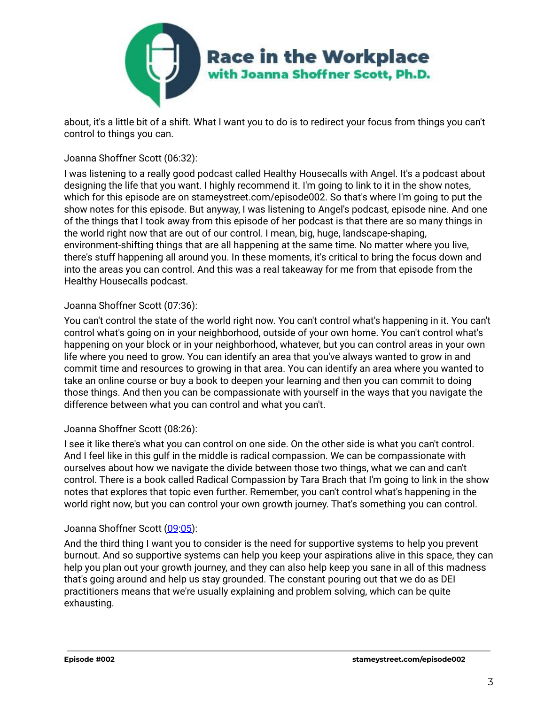

about, it's a little bit of a shift. What I want you to do is to redirect your focus from things you can't control to things you can.

## Joanna Shoffner Scott (06:32):

I was listening to a really good podcast called Healthy Housecalls with Angel. It's a podcast about designing the life that you want. I highly recommend it. I'm going to link to it in the show notes, which for this episode are on stameystreet.com/episode002. So that's where I'm going to put the show notes for this episode. But anyway, I was listening to Angel's podcast, episode nine. And one of the things that I took away from this episode of her podcast is that there are so many things in the world right now that are out of our control. I mean, big, huge, landscape-shaping, environment-shifting things that are all happening at the same time. No matter where you live, there's stuff happening all around you. In these moments, it's critical to bring the focus down and into the areas you can control. And this was a real takeaway for me from that episode from the Healthy Housecalls podcast.

## Joanna Shoffner Scott (07:36):

You can't control the state of the world right now. You can't control what's happening in it. You can't control what's going on in your neighborhood, outside of your own home. You can't control what's happening on your block or in your neighborhood, whatever, but you can control areas in your own life where you need to grow. You can identify an area that you've always wanted to grow in and commit time and resources to growing in that area. You can identify an area where you wanted to take an online course or buy a book to deepen your learning and then you can commit to doing those things. And then you can be compassionate with yourself in the ways that you navigate the difference between what you can control and what you can't.

## Joanna Shoffner Scott (08:26):

I see it like there's what you can control on one side. On the other side is what you can't control. And I feel like in this gulf in the middle is radical compassion. We can be compassionate with ourselves about how we navigate the divide between those two things, what we can and can't control. There is a book called Radical Compassion by Tara Brach that I'm going to link in the show notes that explores that topic even further. Remember, you can't control what's happening in the world right now, but you can control your own growth journey. That's something you can control.

## Joanna Shoffner Scott [\(09:05\)](https://www.rev.com/transcript-editor/Edit?token=SoFZnAT_xix1Jur1uBXWH0XeEwRwcFSXIFVfVTz8fajwjKWXDOX982zhr_PuUqmmf_QrUJUllny5N2j-unYXptV_MaE&loadFrom=DocumentDeeplink&ts=545.35):

And the third thing I want you to consider is the need for supportive systems to help you prevent burnout. And so supportive systems can help you keep your aspirations alive in this space, they can help you plan out your growth journey, and they can also help keep you sane in all of this madness that's going around and help us stay grounded. The constant pouring out that we do as DEI practitioners means that we're usually explaining and problem solving, which can be quite exhausting.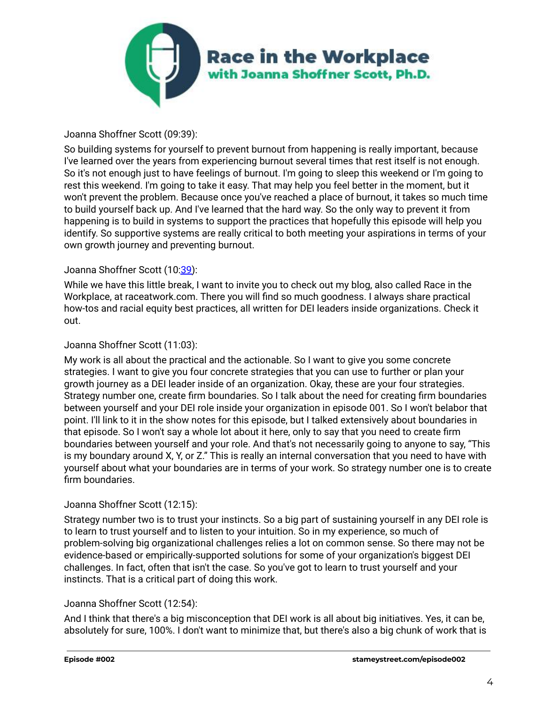

# Joanna Shoffner Scott (09:39):

So building systems for yourself to prevent burnout from happening is really important, because I've learned over the years from experiencing burnout several times that rest itself is not enough. So it's not enough just to have feelings of burnout. I'm going to sleep this weekend or I'm going to rest this weekend. I'm going to take it easy. That may help you feel better in the moment, but it won't prevent the problem. Because once you've reached a place of burnout, it takes so much time to build yourself back up. And I've learned that the hard way. So the only way to prevent it from happening is to build in systems to support the practices that hopefully this episode will help you identify. So supportive systems are really critical to both meeting your aspirations in terms of your own growth journey and preventing burnout.

## Joanna Shoffner Scott (10[:39\)](https://www.rev.com/transcript-editor/Edit?token=nocWQNawL2HnRUBY8Fz8oYG8LxTXGICaMYwxAgov3kZTF4s496cx3bH9JTZV1y9_ALoq_6bKx-LzHvJ9L-88tXSFZ7g&loadFrom=DocumentDeeplink&ts=639.84):

While we have this little break, I want to invite you to check out my blog, also called Race in the Workplace, at raceatwork.com. There you will find so much goodness. I always share practical how-tos and racial equity best practices, all written for DEI leaders inside organizations. Check it out.

## Joanna Shoffner Scott (11:03):

My work is all about the practical and the actionable. So I want to give you some concrete strategies. I want to give you four concrete strategies that you can use to further or plan your growth journey as a DEI leader inside of an organization. Okay, these are your four strategies. Strategy number one, create firm boundaries. So I talk about the need for creating firm boundaries between yourself and your DEI role inside your organization in episode 001. So I won't belabor that point. I'll link to it in the show notes for this episode, but I talked extensively about boundaries in that episode. So I won't say a whole lot about it here, only to say that you need to create firm boundaries between yourself and your role. And that's not necessarily going to anyone to say, "This is my boundary around X, Y, or Z." This is really an internal conversation that you need to have with yourself about what your boundaries are in terms of your work. So strategy number one is to create firm boundaries.

## Joanna Shoffner Scott (12:15):

Strategy number two is to trust your instincts. So a big part of sustaining yourself in any DEI role is to learn to trust yourself and to listen to your intuition. So in my experience, so much of problem-solving big organizational challenges relies a lot on common sense. So there may not be evidence-based or empirically-supported solutions for some of your organization's biggest DEI challenges. In fact, often that isn't the case. So you've got to learn to trust yourself and your instincts. That is a critical part of doing this work.

## Joanna Shoffner Scott (12:54):

And I think that there's a big misconception that DEI work is all about big initiatives. Yes, it can be, absolutely for sure, 100%. I don't want to minimize that, but there's also a big chunk of work that is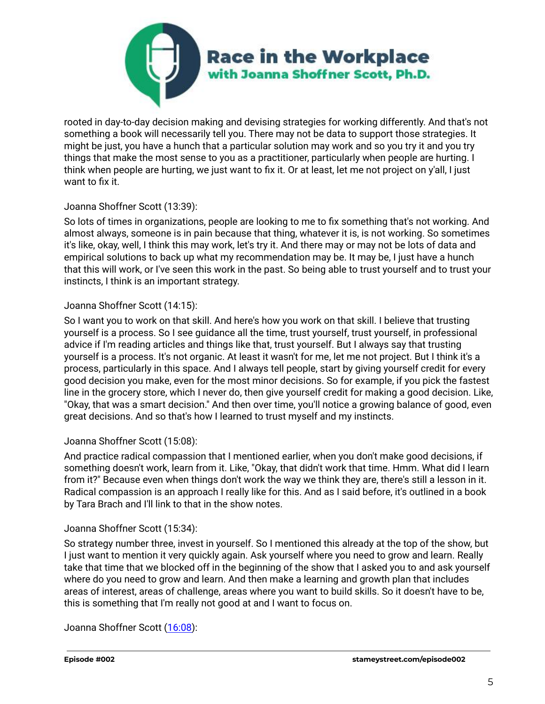

rooted in day-to-day decision making and devising strategies for working differently. And that's not something a book will necessarily tell you. There may not be data to support those strategies. It might be just, you have a hunch that a particular solution may work and so you try it and you try things that make the most sense to you as a practitioner, particularly when people are hurting. I think when people are hurting, we just want to fix it. Or at least, let me not project on y'all, I just want to fix it.

## Joanna Shoffner Scott (13:39):

So lots of times in organizations, people are looking to me to fix something that's not working. And almost always, someone is in pain because that thing, whatever it is, is not working. So sometimes it's like, okay, well, I think this may work, let's try it. And there may or may not be lots of data and empirical solutions to back up what my recommendation may be. It may be, I just have a hunch that this will work, or I've seen this work in the past. So being able to trust yourself and to trust your instincts, I think is an important strategy.

# Joanna Shoffner Scott (14:15):

So I want you to work on that skill. And here's how you work on that skill. I believe that trusting yourself is a process. So I see guidance all the time, trust yourself, trust yourself, in professional advice if I'm reading articles and things like that, trust yourself. But I always say that trusting yourself is a process. It's not organic. At least it wasn't for me, let me not project. But I think it's a process, particularly in this space. And I always tell people, start by giving yourself credit for every good decision you make, even for the most minor decisions. So for example, if you pick the fastest line in the grocery store, which I never do, then give yourself credit for making a good decision. Like, "Okay, that was a smart decision." And then over time, you'll notice a growing balance of good, even great decisions. And so that's how I learned to trust myself and my instincts.

# Joanna Shoffner Scott (15:08):

And practice radical compassion that I mentioned earlier, when you don't make good decisions, if something doesn't work, learn from it. Like, "Okay, that didn't work that time. Hmm. What did I learn from it?" Because even when things don't work the way we think they are, there's still a lesson in it. Radical compassion is an approach I really like for this. And as I said before, it's outlined in a book by Tara Brach and I'll link to that in the show notes.

## Joanna Shoffner Scott (15:34):

So strategy number three, invest in yourself. So I mentioned this already at the top of the show, but I just want to mention it very quickly again. Ask yourself where you need to grow and learn. Really take that time that we blocked off in the beginning of the show that I asked you to and ask yourself where do you need to grow and learn. And then make a learning and growth plan that includes areas of interest, areas of challenge, areas where you want to build skills. So it doesn't have to be, this is something that I'm really not good at and I want to focus on.

Joanna Shoffner Scott [\(16:08\)](https://www.rev.com/transcript-editor/Edit?token=rEIahPXA-EWQWPGhVBjHwcuL1cqukxExapnfs2KAnRpAHLZc_ykQhWxYmjif9jOkenGyxlKidz2_UXmzG-O9ORQu1xA&loadFrom=DocumentDeeplink&ts=968.6):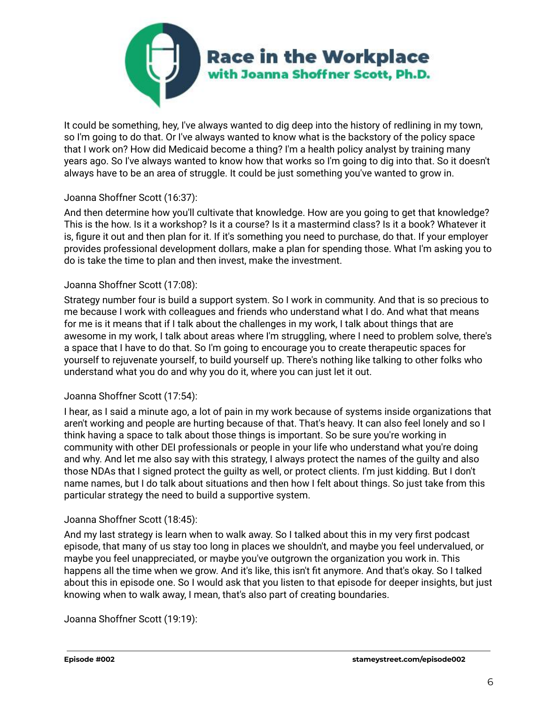

It could be something, hey, I've always wanted to dig deep into the history of redlining in my town, so I'm going to do that. Or I've always wanted to know what is the backstory of the policy space that I work on? How did Medicaid become a thing? I'm a health policy analyst by training many years ago. So I've always wanted to know how that works so I'm going to dig into that. So it doesn't always have to be an area of struggle. It could be just something you've wanted to grow in.

# Joanna Shoffner Scott (16:37):

And then determine how you'll cultivate that knowledge. How are you going to get that knowledge? This is the how. Is it a workshop? Is it a course? Is it a mastermind class? Is it a book? Whatever it is, figure it out and then plan for it. If it's something you need to purchase, do that. If your employer provides professional development dollars, make a plan for spending those. What I'm asking you to do is take the time to plan and then invest, make the investment.

## Joanna Shoffner Scott (17:08):

Strategy number four is build a support system. So I work in community. And that is so precious to me because I work with colleagues and friends who understand what I do. And what that means for me is it means that if I talk about the challenges in my work, I talk about things that are awesome in my work, I talk about areas where I'm struggling, where I need to problem solve, there's a space that I have to do that. So I'm going to encourage you to create therapeutic spaces for yourself to rejuvenate yourself, to build yourself up. There's nothing like talking to other folks who understand what you do and why you do it, where you can just let it out.

## Joanna Shoffner Scott (17:54):

I hear, as I said a minute ago, a lot of pain in my work because of systems inside organizations that aren't working and people are hurting because of that. That's heavy. It can also feel lonely and so I think having a space to talk about those things is important. So be sure you're working in community with other DEI professionals or people in your life who understand what you're doing and why. And let me also say with this strategy, I always protect the names of the guilty and also those NDAs that I signed protect the guilty as well, or protect clients. I'm just kidding. But I don't name names, but I do talk about situations and then how I felt about things. So just take from this particular strategy the need to build a supportive system.

## Joanna Shoffner Scott (18:45):

And my last strategy is learn when to walk away. So I talked about this in my very first podcast episode, that many of us stay too long in places we shouldn't, and maybe you feel undervalued, or maybe you feel unappreciated, or maybe you've outgrown the organization you work in. This happens all the time when we grow. And it's like, this isn't fit anymore. And that's okay. So I talked about this in episode one. So I would ask that you listen to that episode for deeper insights, but just knowing when to walk away, I mean, that's also part of creating boundaries.

Joanna Shoffner Scott (19:19):